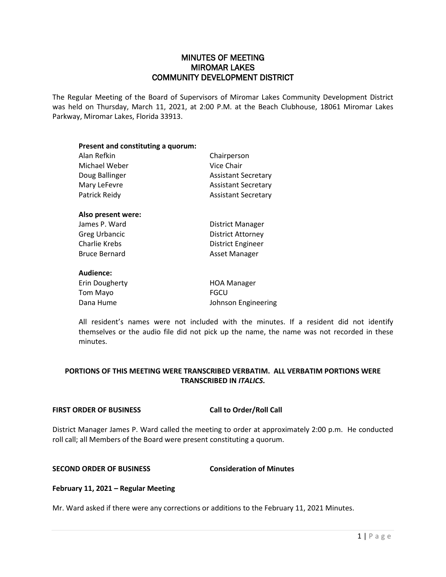# MINUTES OF MEETING MIROMAR LAKES COMMUNITY DEVELOPMENT DISTRICT

The Regular Meeting of the Board of Supervisors of Miromar Lakes Community Development District was held on Thursday, March 11, 2021, at 2:00 P.M. at the Beach Clubhouse, 18061 Miromar Lakes Parkway, Miromar Lakes, Florida 33913.

| Present and constituting a quorum: |                            |
|------------------------------------|----------------------------|
| Alan Refkin                        | Chairperson                |
| Michael Weber                      | Vice Chair                 |
| Doug Ballinger                     | <b>Assistant Secretary</b> |
| Mary LeFevre                       | <b>Assistant Secretary</b> |
| Patrick Reidy                      | <b>Assistant Secretary</b> |
| Also present were:                 |                            |
| James P. Ward                      | District Manager           |
| <b>Greg Urbancic</b>               | <b>District Attorney</b>   |
| Charlie Krebs                      | District Engineer          |
| <b>Bruce Bernard</b>               | Asset Manager              |
| Audience:                          |                            |
| Erin Dougherty                     | <b>HOA Manager</b>         |
| Tom Mayo                           | FGCU                       |

Dana Hume **Johnson Engineering** 

All resident's names were not included with the minutes. If a resident did not identify themselves or the audio file did not pick up the name, the name was not recorded in these minutes.

# **PORTIONS OF THIS MEETING WERE TRANSCRIBED VERBATIM. ALL VERBATIM PORTIONS WERE TRANSCRIBED IN** *ITALICS***.**

### **FIRST ORDER OF BUSINESS Call to Order/Roll Call**

District Manager James P. Ward called the meeting to order at approximately 2:00 p.m. He conducted roll call; all Members of the Board were present constituting a quorum.

## **SECOND ORDER OF BUSINESS Consideration of Minutes**

## **February 11, 2021 – Regular Meeting**

Mr. Ward asked if there were any corrections or additions to the February 11, 2021 Minutes.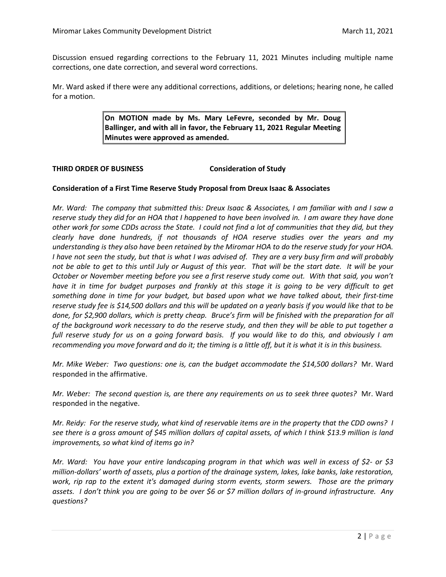Discussion ensued regarding corrections to the February 11, 2021 Minutes including multiple name corrections, one date correction, and several word corrections.

Mr. Ward asked if there were any additional corrections, additions, or deletions; hearing none, he called for a motion.

> **On MOTION made by Ms. Mary LeFevre, seconded by Mr. Doug Ballinger, and with all in favor, the February 11, 2021 Regular Meeting Minutes were approved as amended.**

### **THIRD ORDER OF BUSINESS Consideration of Study**

## **Consideration of a First Time Reserve Study Proposal from Dreux Isaac & Associates**

*Mr. Ward: The company that submitted this: Dreux Isaac & Associates, I am familiar with and I saw a reserve study they did for an HOA that I happened to have been involved in. I am aware they have done other work for some CDDs across the State. I could not find a lot of communities that they did, but they clearly have done hundreds, if not thousands of HOA reserve studies over the years and my understanding is they also have been retained by the Miromar HOA to do the reserve study for your HOA. I have not seen the study, but that is what I was advised of. They are a very busy firm and will probably not be able to get to this until July or August of this year. That will be the start date. It will be your October or November meeting before you see a first reserve study come out. With that said, you won't have it in time for budget purposes and frankly at this stage it is going to be very difficult to get something done in time for your budget, but based upon what we have talked about, their first-time reserve study fee is \$14,500 dollars and this will be updated on a yearly basis if you would like that to be done, for \$2,900 dollars, which is pretty cheap. Bruce's firm will be finished with the preparation for all of the background work necessary to do the reserve study, and then they will be able to put together a full reserve study for us on a going forward basis. If you would like to do this, and obviously I am recommending you move forward and do it; the timing is a little off, but it is what it is in this business.* 

*Mr. Mike Weber: Two questions: one is, can the budget accommodate the \$14,500 dollars?* Mr. Ward responded in the affirmative.

*Mr. Weber: The second question is, are there any requirements on us to seek three quotes?* Mr. Ward responded in the negative.

*Mr. Reidy: For the reserve study, what kind of reservable items are in the property that the CDD owns? I see there is a gross amount of \$45 million dollars of capital assets, of which I think \$13.9 million is land improvements, so what kind of items go in?* 

*Mr. Ward: You have your entire landscaping program in that which was well in excess of \$2- or \$3 million-dollars' worth of assets, plus a portion of the drainage system, lakes, lake banks, lake restoration, work, rip rap to the extent it's damaged during storm events, storm sewers. Those are the primary assets. I don't think you are going to be over \$6 or \$7 million dollars of in-ground infrastructure. Any questions?*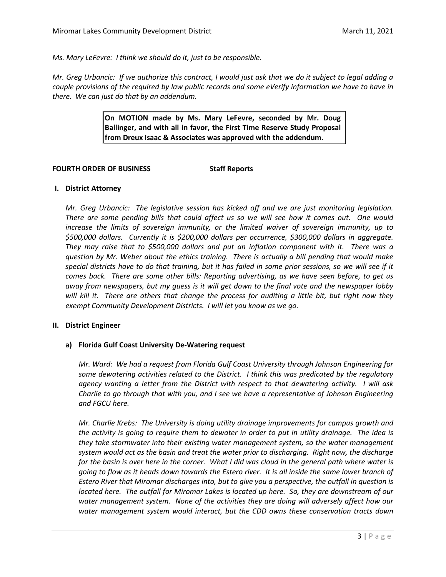*Ms. Mary LeFevre: I think we should do it, just to be responsible.* 

*Mr. Greg Urbancic: If we authorize this contract, I would just ask that we do it subject to legal adding a couple provisions of the required by law public records and some eVerify information we have to have in there. We can just do that by an addendum.* 

> **On MOTION made by Ms. Mary LeFevre, seconded by Mr. Doug Ballinger, and with all in favor, the First Time Reserve Study Proposal from Dreux Isaac & Associates was approved with the addendum.**

#### **FOURTH ORDER OF BUSINESS Staff Reports**

### **I. District Attorney**

*Mr. Greg Urbancic: The legislative session has kicked off and we are just monitoring legislation. There are some pending bills that could affect us so we will see how it comes out. One would increase the limits of sovereign immunity, or the limited waiver of sovereign immunity, up to \$500,000 dollars. Currently it is \$200,000 dollars per occurrence, \$300,000 dollars in aggregate. They may raise that to \$500,000 dollars and put an inflation component with it. There was a question by Mr. Weber about the ethics training. There is actually a bill pending that would make special districts have to do that training, but it has failed in some prior sessions, so we will see if it comes back. There are some other bills: Reporting advertising, as we have seen before, to get us away from newspapers, but my guess is it will get down to the final vote and the newspaper lobby will kill it. There are others that change the process for auditing a little bit, but right now they exempt Community Development Districts. I will let you know as we go.* 

### **II. District Engineer**

### **a) Florida Gulf Coast University De-Watering request**

*Mr. Ward: We had a request from Florida Gulf Coast University through Johnson Engineering for some dewatering activities related to the District. I think this was predicated by the regulatory agency wanting a letter from the District with respect to that dewatering activity. I will ask Charlie to go through that with you, and I see we have a representative of Johnson Engineering and FGCU here.* 

*Mr. Charlie Krebs: The University is doing utility drainage improvements for campus growth and the activity is going to require them to dewater in order to put in utility drainage. The idea is they take stormwater into their existing water management system, so the water management system would act as the basin and treat the water prior to discharging. Right now, the discharge for the basin is over here in the corner. What I did was cloud in the general path where water is going to flow as it heads down towards the Estero river. It is all inside the same lower branch of Estero River that Miromar discharges into, but to give you a perspective, the outfall in question is located here. The outfall for Miromar Lakes is located up here. So, they are downstream of our water management system. None of the activities they are doing will adversely affect how our water management system would interact, but the CDD owns these conservation tracts down*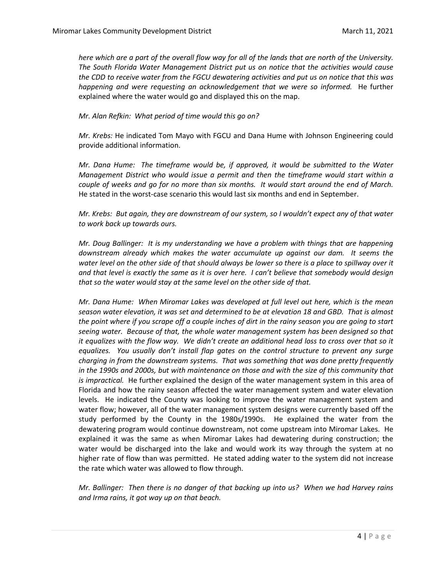*here which are a part of the overall flow way for all of the lands that are north of the University. The South Florida Water Management District put us on notice that the activities would cause the CDD to receive water from the FGCU dewatering activities and put us on notice that this was happening and were requesting an acknowledgement that we were so informed.* He further explained where the water would go and displayed this on the map.

## *Mr. Alan Refkin: What period of time would this go on?*

*Mr. Krebs:* He indicated Tom Mayo with FGCU and Dana Hume with Johnson Engineering could provide additional information.

*Mr. Dana Hume: The timeframe would be, if approved, it would be submitted to the Water Management District who would issue a permit and then the timeframe would start within a couple of weeks and go for no more than six months. It would start around the end of March.*  He stated in the worst-case scenario this would last six months and end in September.

*Mr. Krebs: But again, they are downstream of our system, so I wouldn't expect any of that water to work back up towards ours.* 

*Mr. Doug Ballinger: It is my understanding we have a problem with things that are happening downstream already which makes the water accumulate up against our dam. It seems the water level on the other side of that should always be lower so there is a place to spillway over it and that level is exactly the same as it is over here. I can't believe that somebody would design that so the water would stay at the same level on the other side of that.* 

*Mr. Dana Hume: When Miromar Lakes was developed at full level out here, which is the mean season water elevation, it was set and determined to be at elevation 18 and GBD. That is almost the point where if you scrape off a couple inches of dirt in the rainy season you are going to start seeing water. Because of that, the whole water management system has been designed so that it equalizes with the flow way. We didn't create an additional head loss to cross over that so it equalizes. You usually don't install flap gates on the control structure to prevent any surge charging in from the downstream systems. That was something that was done pretty frequently in the 1990s and 2000s, but with maintenance on those and with the size of this community that is impractical.* He further explained the design of the water management system in this area of Florida and how the rainy season affected the water management system and water elevation levels. He indicated the County was looking to improve the water management system and water flow; however, all of the water management system designs were currently based off the study performed by the County in the 1980s/1990s. He explained the water from the dewatering program would continue downstream, not come upstream into Miromar Lakes. He explained it was the same as when Miromar Lakes had dewatering during construction; the water would be discharged into the lake and would work its way through the system at no higher rate of flow than was permitted. He stated adding water to the system did not increase the rate which water was allowed to flow through.

*Mr. Ballinger: Then there is no danger of that backing up into us? When we had Harvey rains and Irma rains, it got way up on that beach.*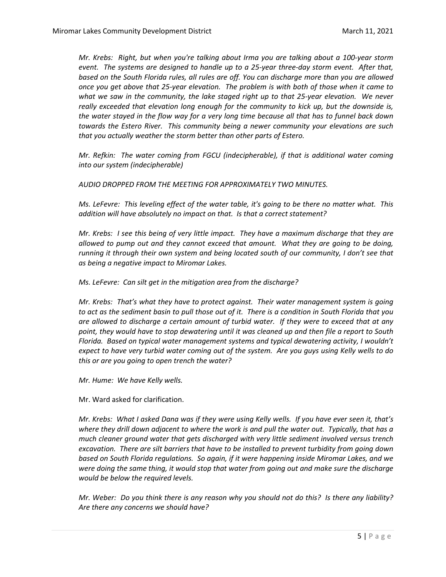*Mr. Krebs: Right, but when you're talking about Irma you are talking about a 100-year storm event. The systems are designed to handle up to a 25-year three-day storm event. After that, based on the South Florida rules, all rules are off. You can discharge more than you are allowed once you get above that 25-year elevation. The problem is with both of those when it came to what we saw in the community, the lake staged right up to that 25-year elevation. We never really exceeded that elevation long enough for the community to kick up, but the downside is, the water stayed in the flow way for a very long time because all that has to funnel back down towards the Estero River. This community being a newer community your elevations are such that you actually weather the storm better than other parts of Estero.* 

*Mr. Refkin: The water coming from FGCU (indecipherable), if that is additional water coming into our system (indecipherable)* 

*AUDIO DROPPED FROM THE MEETING FOR APPROXIMATELY TWO MINUTES.* 

*Ms. LeFevre: This leveling effect of the water table, it's going to be there no matter what. This addition will have absolutely no impact on that. Is that a correct statement?*

*Mr. Krebs: I see this being of very little impact. They have a maximum discharge that they are allowed to pump out and they cannot exceed that amount. What they are going to be doing, running it through their own system and being located south of our community, I don't see that as being a negative impact to Miromar Lakes.* 

*Ms. LeFevre: Can silt get in the mitigation area from the discharge?*

*Mr. Krebs: That's what they have to protect against. Their water management system is going to act as the sediment basin to pull those out of it. There is a condition in South Florida that you are allowed to discharge a certain amount of turbid water. If they were to exceed that at any point, they would have to stop dewatering until it was cleaned up and then file a report to South Florida. Based on typical water management systems and typical dewatering activity, I wouldn't expect to have very turbid water coming out of the system. Are you guys using Kelly wells to do this or are you going to open trench the water?* 

*Mr. Hume: We have Kelly wells.*

Mr. Ward asked for clarification.

*Mr. Krebs: What I asked Dana was if they were using Kelly wells. If you have ever seen it, that's where they drill down adjacent to where the work is and pull the water out. Typically, that has a much cleaner ground water that gets discharged with very little sediment involved versus trench excavation. There are silt barriers that have to be installed to prevent turbidity from going down based on South Florida regulations. So again, if it were happening inside Miromar Lakes, and we were doing the same thing, it would stop that water from going out and make sure the discharge would be below the required levels.* 

*Mr. Weber: Do you think there is any reason why you should not do this? Is there any liability? Are there any concerns we should have?*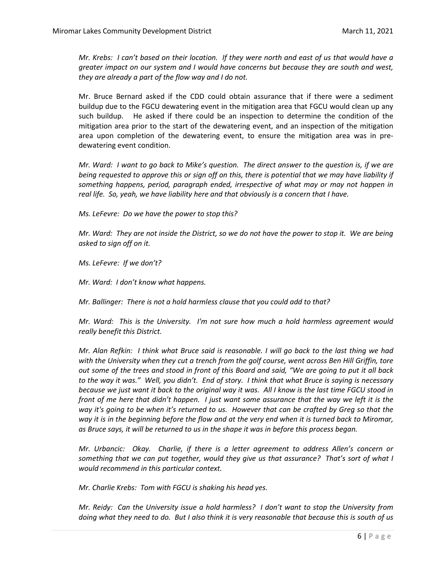*Mr. Krebs: I can't based on their location. If they were north and east of us that would have a greater impact on our system and I would have concerns but because they are south and west, they are already a part of the flow way and I do not.* 

Mr. Bruce Bernard asked if the CDD could obtain assurance that if there were a sediment buildup due to the FGCU dewatering event in the mitigation area that FGCU would clean up any such buildup. He asked if there could be an inspection to determine the condition of the mitigation area prior to the start of the dewatering event, and an inspection of the mitigation area upon completion of the dewatering event, to ensure the mitigation area was in predewatering event condition.

*Mr. Ward: I want to go back to Mike's question. The direct answer to the question is, if we are being requested to approve this or sign off on this, there is potential that we may have liability if something happens, period, paragraph ended, irrespective of what may or may not happen in real life. So, yeah, we have liability here and that obviously is a concern that I have.* 

*Ms. LeFevre: Do we have the power to stop this?* 

*Mr. Ward: They are not inside the District, so we do not have the power to stop it. We are being asked to sign off on it.* 

*Ms. LeFevre: If we don't?*

*Mr. Ward: I don't know what happens.* 

*Mr. Ballinger: There is not a hold harmless clause that you could add to that?*

*Mr. Ward: This is the University. I'm not sure how much a hold harmless agreement would really benefit this District.*

*Mr. Alan Refkin: I think what Bruce said is reasonable. I will go back to the last thing we had with the University when they cut a trench from the golf course, went across Ben Hill Griffin, tore out some of the trees and stood in front of this Board and said, "We are going to put it all back to the way it was." Well, you didn't. End of story. I think that what Bruce is saying is necessary because we just want it back to the original way it was. All I know is the last time FGCU stood in front of me here that didn't happen. I just want some assurance that the way we left it is the way it's going to be when it's returned to us. However that can be crafted by Greg so that the way it is in the beginning before the flow and at the very end when it is turned back to Miromar, as Bruce says, it will be returned to us in the shape it was in before this process began.* 

*Mr. Urbancic: Okay. Charlie, if there is a letter agreement to address Allen's concern or something that we can put together, would they give us that assurance? That's sort of what I would recommend in this particular context.* 

*Mr. Charlie Krebs: Tom with FGCU is shaking his head yes.* 

*Mr. Reidy: Can the University issue a hold harmless? I don't want to stop the University from doing what they need to do. But I also think it is very reasonable that because this is south of us*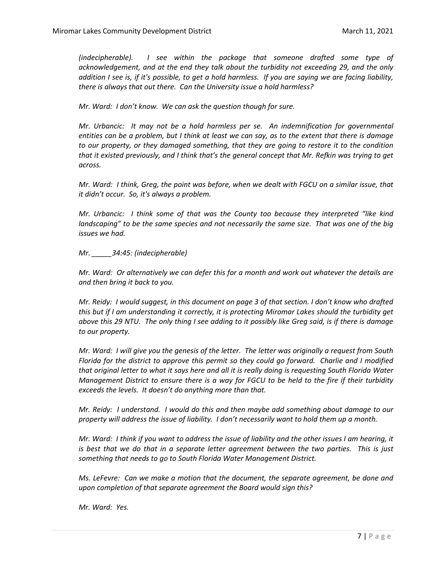*(indecipherable). I see within the package that someone drafted some type of acknowledgement, and at the end they talk about the turbidity not exceeding 29, and the only addition I see is, if it's possible, to get a hold harmless. If you are saying we are facing liability, there is always that out there. Can the University issue a hold harmless?*

*Mr. Ward: I don't know. We can ask the question though for sure.* 

*Mr. Urbancic: It may not be a hold harmless per se. An indemnification for governmental entities can be a problem, but I think at least we can say, as to the extent that there is damage to our property, or they damaged something, that they are going to restore it to the condition that it existed previously, and I think that's the general concept that Mr. Refkin was trying to get across.*

*Mr. Ward: I think, Greg, the point was before, when we dealt with FGCU on a similar issue, that it didn't occur. So, it's always a problem.*

*Mr. Urbancic: I think some of that was the County too because they interpreted "like kind landscaping" to be the same species and not necessarily the same size. That was one of the big issues we had.* 

*Mr. \_\_\_\_\_34:45: (indecipherable)* 

*Mr. Ward: Or alternatively we can defer this for a month and work out whatever the details are and then bring it back to you.* 

*Mr. Reidy: I would suggest, in this document on page 3 of that section. I don't know who drafted this but if I am understanding it correctly, it is protecting Miromar Lakes should the turbidity get above this 29 NTU. The only thing I see adding to it possibly like Greg said, is if there is damage to our property.*

*Mr. Ward: I will give you the genesis of the letter. The letter was originally a request from South Florida for the district to approve this permit so they could go forward. Charlie and I modified that original letter to what it says here and all it is really doing is requesting South Florida Water Management District to ensure there is a way for FGCU to be held to the fire if their turbidity exceeds the levels. It doesn't do anything more than that.* 

*Mr. Reidy: I understand. I would do this and then maybe add something about damage to our property will address the issue of liability. I don't necessarily want to hold them up a month.*

*Mr. Ward: I think if you want to address the issue of liability and the other issues I am hearing, it is best that we do that in a separate letter agreement between the two parties. This is just something that needs to go to South Florida Water Management District.* 

*Ms. LeFevre: Can we make a motion that the document, the separate agreement, be done and upon completion of that separate agreement the Board would sign this?*

*Mr. Ward: Yes.*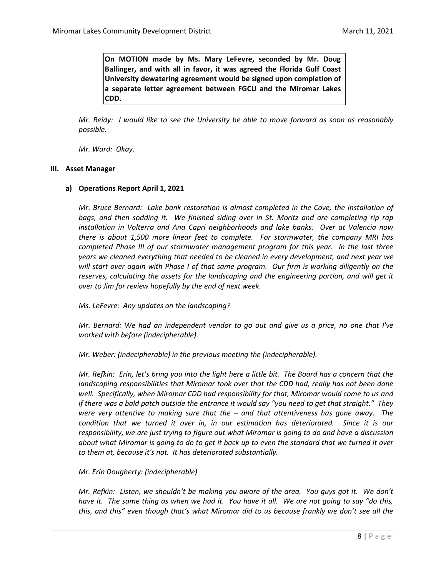**On MOTION made by Ms. Mary LeFevre, seconded by Mr. Doug Ballinger, and with all in favor, it was agreed the Florida Gulf Coast University dewatering agreement would be signed upon completion of a separate letter agreement between FGCU and the Miromar Lakes CDD.** 

*Mr. Reidy: I would like to see the University be able to move forward as soon as reasonably possible.* 

*Mr. Ward: Okay.* 

#### **III. Asset Manager**

#### **a) Operations Report April 1, 2021**

*Mr. Bruce Bernard: Lake bank restoration is almost completed in the Cove; the installation of bags, and then sodding it. We finished siding over in St. Moritz and are completing rip rap installation in Volterra and Ana Capri neighborhoods and lake banks. Over at Valencia now there is about 1,500 more linear feet to complete. For stormwater, the company MRI has completed Phase III of our stormwater management program for this year. In the last three years we cleaned everything that needed to be cleaned in every development, and next year we will start over again with Phase I of that same program. Our firm is working diligently on the reserves, calculating the assets for the landscaping and the engineering portion, and will get it over to Jim for review hopefully by the end of next week.* 

*Ms. LeFevre: Any updates on the landscaping?*

*Mr. Bernard: We had an independent vendor to go out and give us a price, no one that I've worked with before (indecipherable).* 

*Mr. Weber: (indecipherable) in the previous meeting the (indecipherable).* 

*Mr. Refkin: Erin, let's bring you into the light here a little bit. The Board has a concern that the landscaping responsibilities that Miromar took over that the CDD had, really has not been done well. Specifically, when Miromar CDD had responsibility for that, Miromar would come to us and if there was a bald patch outside the entrance it would say "you need to get that straight." They were very attentive to making sure that the – and that attentiveness has gone away. The condition that we turned it over in, in our estimation has deteriorated. Since it is our responsibility, we are just trying to figure out what Miromar is going to do and have a discussion about what Miromar is going to do to get it back up to even the standard that we turned it over to them at, because it's not. It has deteriorated substantially.* 

### *Mr. Erin Dougherty: (indecipherable)*

*Mr. Refkin: Listen, we shouldn't be making you aware of the area. You guys got it. We don't have it. The same thing as when we had it. You have it all. We are not going to say "do this, this, and this" even though that's what Miromar did to us because frankly we don't see all the*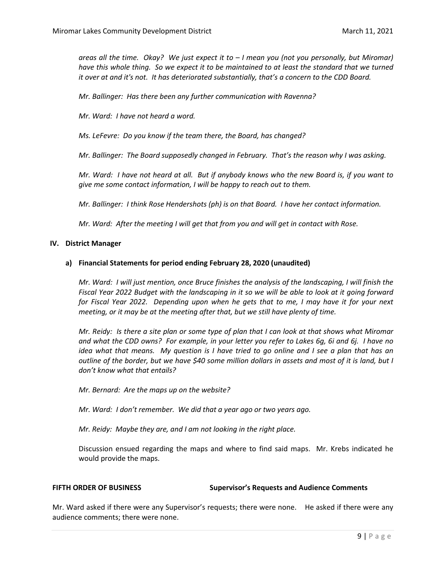*areas all the time. Okay? We just expect it to – I mean you (not you personally, but Miromar)*  have this whole thing. So we expect it to be maintained to at least the standard that we turned *it over at and it's not. It has deteriorated substantially, that's a concern to the CDD Board.* 

*Mr. Ballinger: Has there been any further communication with Ravenna?*

*Mr. Ward: I have not heard a word.* 

*Ms. LeFevre: Do you know if the team there, the Board, has changed?*

*Mr. Ballinger: The Board supposedly changed in February. That's the reason why I was asking.* 

*Mr. Ward: I have not heard at all. But if anybody knows who the new Board is, if you want to give me some contact information, I will be happy to reach out to them.* 

*Mr. Ballinger: I think Rose Hendershots (ph) is on that Board. I have her contact information.* 

*Mr. Ward: After the meeting I will get that from you and will get in contact with Rose.* 

#### **IV. District Manager**

### **a) Financial Statements for period ending February 28, 2020 (unaudited)**

*Mr. Ward: I will just mention, once Bruce finishes the analysis of the landscaping, I will finish the Fiscal Year 2022 Budget with the landscaping in it so we will be able to look at it going forward for Fiscal Year 2022. Depending upon when he gets that to me, I may have it for your next meeting, or it may be at the meeting after that, but we still have plenty of time.* 

*Mr. Reidy: Is there a site plan or some type of plan that I can look at that shows what Miromar and what the CDD owns? For example, in your letter you refer to Lakes 6g, 6i and 6j. I have no idea what that means. My question is I have tried to go online and I see a plan that has an outline of the border, but we have \$40 some million dollars in assets and most of it is land, but I don't know what that entails?* 

*Mr. Bernard: Are the maps up on the website?*

*Mr. Ward: I don't remember. We did that a year ago or two years ago.* 

*Mr. Reidy: Maybe they are, and I am not looking in the right place.* 

Discussion ensued regarding the maps and where to find said maps. Mr. Krebs indicated he would provide the maps.

#### **FIFTH ORDER OF BUSINESS Supervisor's Requests and Audience Comments**

Mr. Ward asked if there were any Supervisor's requests; there were none. He asked if there were any audience comments; there were none.